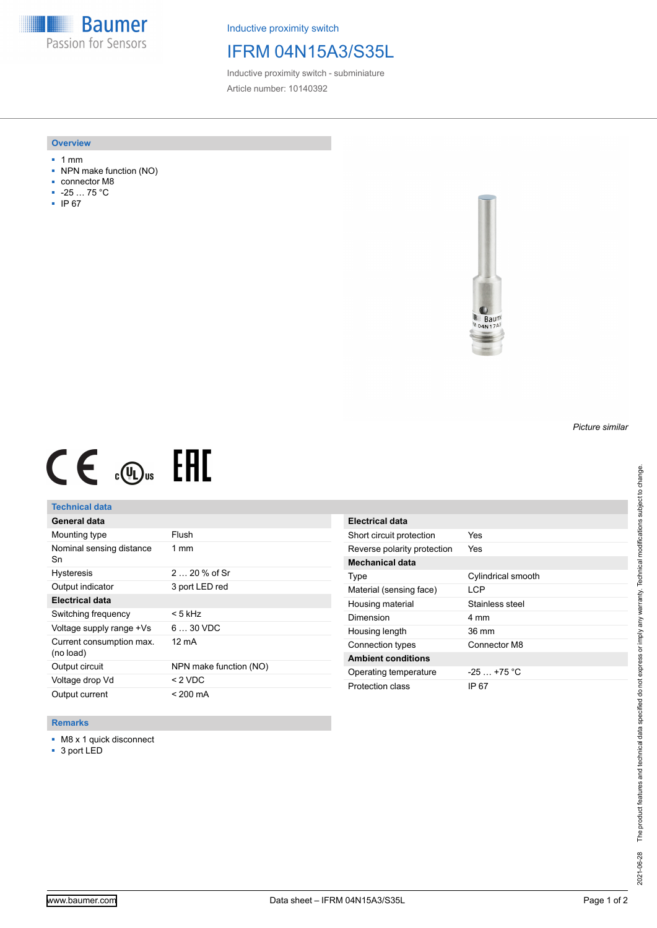**Baumer** Passion for Sensors

Inductive proximity switch

# IFRM 04N15A3/S35L

Inductive proximity switch - subminiature Article number: 10140392

#### **Overview**

- 1 mm
- NPN make function (NO)
- connector M8
- -25 … 75 °C
- IP 67



# $CE \mathcal{L}$  (Dus FRE

## **Technical data**

| General data                          |                        |
|---------------------------------------|------------------------|
| Mounting type                         | Flush                  |
| Nominal sensing distance<br>Sn        | $1 \text{ mm}$         |
| <b>Hysteresis</b>                     | $220%$ of Sr           |
| Output indicator                      | 3 port LED red         |
| <b>Electrical data</b>                |                        |
| Switching frequency                   | < 5 kHz                |
| Voltage supply range +Vs              | $630$ VDC              |
| Current consumption max.<br>(no load) | 12 mA                  |
| Output circuit                        | NPN make function (NO) |
| Voltage drop Vd                       | $<$ 2 VDC              |
| Output current                        | $< 200 \text{ mA}$     |

| Electrical data             |                    |
|-----------------------------|--------------------|
| Short circuit protection    | Yes                |
| Reverse polarity protection | Yes                |
| Mechanical data             |                    |
| Type                        | Cylindrical smooth |
| Material (sensing face)     | I CP               |
| Housing material            | Stainless steel    |
| Dimension                   | 4 mm               |
| Housing length              | 36 mm              |
| Connection types            | Connector M8       |
| <b>Ambient conditions</b>   |                    |
| Operating temperature       | $-25 + 75$ °C      |
| Protection class            | IP 67              |

#### **Remarks**

- M8 x 1 quick disconnect
- 3 port LED

*Picture similar*